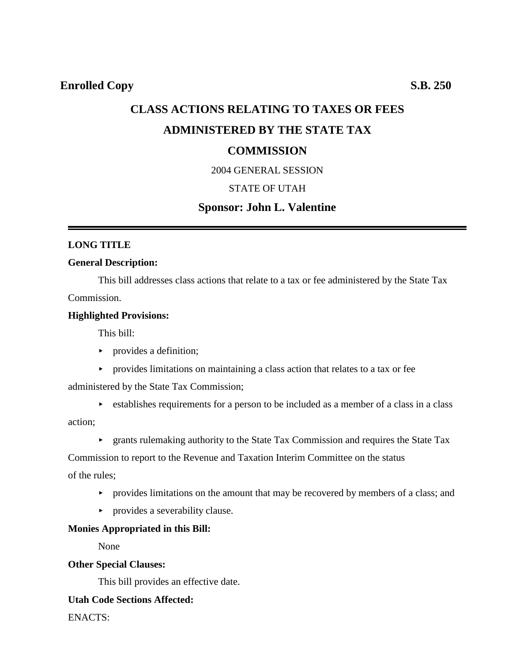# **CLASS ACTIONS RELATING TO TAXES OR FEES ADMINISTERED BY THE STATE TAX COMMISSION**

# 2004 GENERAL SESSION

### STATE OF UTAH

# **Sponsor: John L. Valentine**

# **LONG TITLE**

#### **General Description:**

This bill addresses class actions that relate to a tax or fee administered by the State Tax Commission.

#### **Highlighted Provisions:**

This bill:

- $\blacktriangleright$  provides a definition;
- **Provides limitations on maintaining a class action that relates to a tax or fee**

administered by the State Tax Commission;

- $\triangleright$  establishes requirements for a person to be included as a member of a class in a class action;
	- **Exercise 3** approximating authority to the State Tax Commission and requires the State Tax

Commission to report to the Revenue and Taxation Interim Committee on the status

of the rules;

- $\rightarrow$  provides limitations on the amount that may be recovered by members of a class; and
- provides a severability clause.

# **Monies Appropriated in this Bill:**

None

#### **Other Special Clauses:**

This bill provides an effective date.

# **Utah Code Sections Affected:**

ENACTS: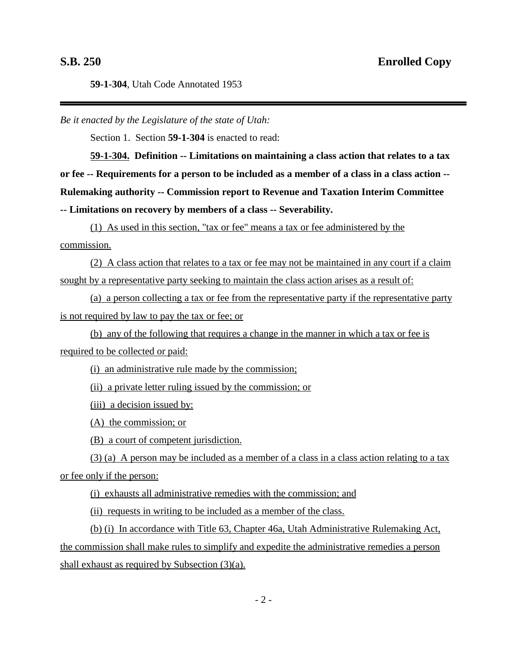**59-1-304**, Utah Code Annotated 1953

*Be it enacted by the Legislature of the state of Utah:*

Section 1. Section **59-1-304** is enacted to read:

**59-1-304. Definition -- Limitations on maintaining a class action that relates to a tax or fee -- Requirements for a person to be included as a member of a class in a class action -- Rulemaking authority -- Commission report to Revenue and Taxation Interim Committee -- Limitations on recovery by members of a class -- Severability.**

(1) As used in this section, "tax or fee" means a tax or fee administered by the commission.

(2) A class action that relates to a tax or fee may not be maintained in any court if a claim sought by a representative party seeking to maintain the class action arises as a result of:

(a) a person collecting a tax or fee from the representative party if the representative party is not required by law to pay the tax or fee; or

(b) any of the following that requires a change in the manner in which a tax or fee is required to be collected or paid:

(i) an administrative rule made by the commission;

(ii) a private letter ruling issued by the commission; or

(iii) a decision issued by:

(A) the commission; or

(B) a court of competent jurisdiction.

(3) (a) A person may be included as a member of a class in a class action relating to a tax or fee only if the person:

(i) exhausts all administrative remedies with the commission; and

(ii) requests in writing to be included as a member of the class.

(b) (i) In accordance with Title 63, Chapter 46a, Utah Administrative Rulemaking Act, the commission shall make rules to simplify and expedite the administrative remedies a person shall exhaust as required by Subsection (3)(a).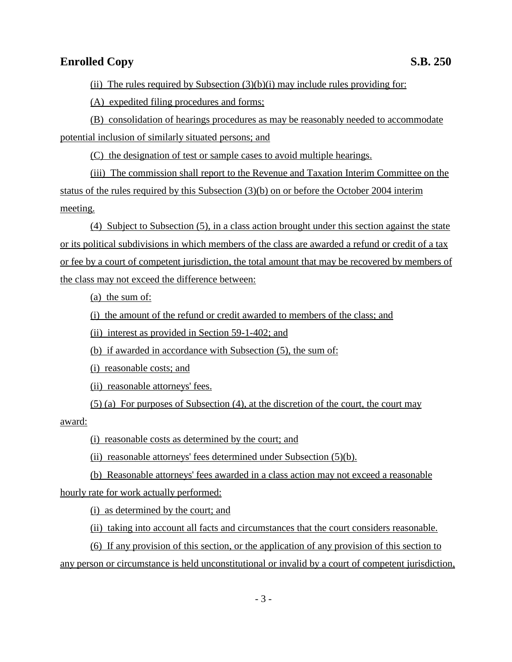# **Enrolled Copy** S.B. 250

(ii) The rules required by Subsection  $(3)(b)(i)$  may include rules providing for:

(A) expedited filing procedures and forms;

(B) consolidation of hearings procedures as may be reasonably needed to accommodate potential inclusion of similarly situated persons; and

(C) the designation of test or sample cases to avoid multiple hearings.

(iii) The commission shall report to the Revenue and Taxation Interim Committee on the status of the rules required by this Subsection (3)(b) on or before the October 2004 interim meeting.

(4) Subject to Subsection (5), in a class action brought under this section against the state or its political subdivisions in which members of the class are awarded a refund or credit of a tax or fee by a court of competent jurisdiction, the total amount that may be recovered by members of the class may not exceed the difference between:

(a) the sum of:

(i) the amount of the refund or credit awarded to members of the class; and

(ii) interest as provided in Section 59-1-402; and

(b) if awarded in accordance with Subsection (5), the sum of:

(i) reasonable costs; and

(ii) reasonable attorneys' fees.

(5) (a) For purposes of Subsection (4), at the discretion of the court, the court may

award:

(i) reasonable costs as determined by the court; and

(ii) reasonable attorneys' fees determined under Subsection (5)(b).

(b) Reasonable attorneys' fees awarded in a class action may not exceed a reasonable hourly rate for work actually performed:

(i) as determined by the court; and

(ii) taking into account all facts and circumstances that the court considers reasonable.

(6) If any provision of this section, or the application of any provision of this section to any person or circumstance is held unconstitutional or invalid by a court of competent jurisdiction,